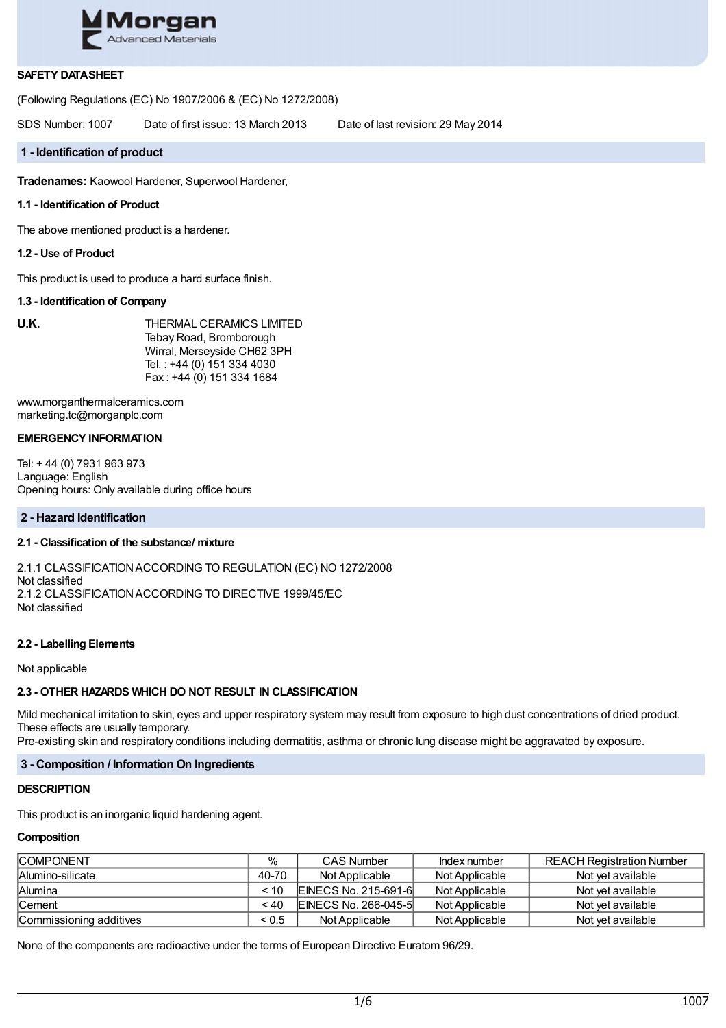

# **SAFETY DATASHEET**

(Following Regulations (EC) No 1907/2006 & (EC) No 1272/2008)

SDS Number: 1007 Date of first issue: 13 March 2013 Date of last revision: 29 May 2014

#### **1 - Identification of product**

**Tradenames:** Kaowool Hardener, Superwool Hardener,

#### **1.1 - Identification of Product**

The above mentioned product is a hardener.

#### **1.2 - Use of Product**

This product is used to produce a hard surface finish.

#### **1.3 - Identification of Company**

**U.K.** THERMAL CERAMICS LIMITED Tebay Road, Bromborough Wirral, Merseyside CH62 3PH Tel. : +44 (0) 151 334 4030 Fax : +44 (0) 151 334 1684

www.morganthermalceramics.com marketing.tc@morganplc.com

#### **EMERGENCY INFORMATION**

Tel: + 44 (0) 7931 963 973 Language: English Opening hours: Only available during office hours

### **2 - Hazard Identification**

# **2.1 - Classification of the substance/ mixture**

2.1.1 CLASSIFICATIONACCORDING TO REGULATION (EC) NO 1272/2008 Not classified 2.1.2 CLASSIFICATIONACCORDING TO DIRECTIVE 1999/45/EC Not classified

#### **2.2 - Labelling Elements**

#### Not applicable

# **2.3 - OTHER HAZARDS WHICH DO NOT RESULT IN CLASSIFICATION**

Mild mechanical irritation to skin, eyes and upper respiratory system may result from exposure to high dust concentrations of dried product. These effects are usually temporary.

Pre-existing skin and respiratory conditions including dermatitis, asthma or chronic lung disease might be aggravated by exposure.

# **3 - Composition / Information On Ingredients**

# **DESCRIPTION**

This product is an inorganic liquid hardening agent.

# **Composition**

| <b>COMPONENT</b>        | %            | <b>CAS Number</b>           | Index number   | <b>REACH Registration Number</b> |
|-------------------------|--------------|-----------------------------|----------------|----------------------------------|
| Alumino-silicate        | 40-70        | Not Applicable              | Not Applicable | Not vet available                |
| <b>Alumina</b>          | ~10          | EINECS No. 215-691-6        | Not Applicable | Not yet available                |
| <b>Cement</b>           | ~10          | <b>EINECS No. 266-045-5</b> | Not Applicable | Not vet available                |
| Commissioning additives | ${}^{< 0.5}$ | Not Applicable              | Not Applicable | Not vet available                |

None of the components are radioactive under the terms of European Directive Euratom 96/29.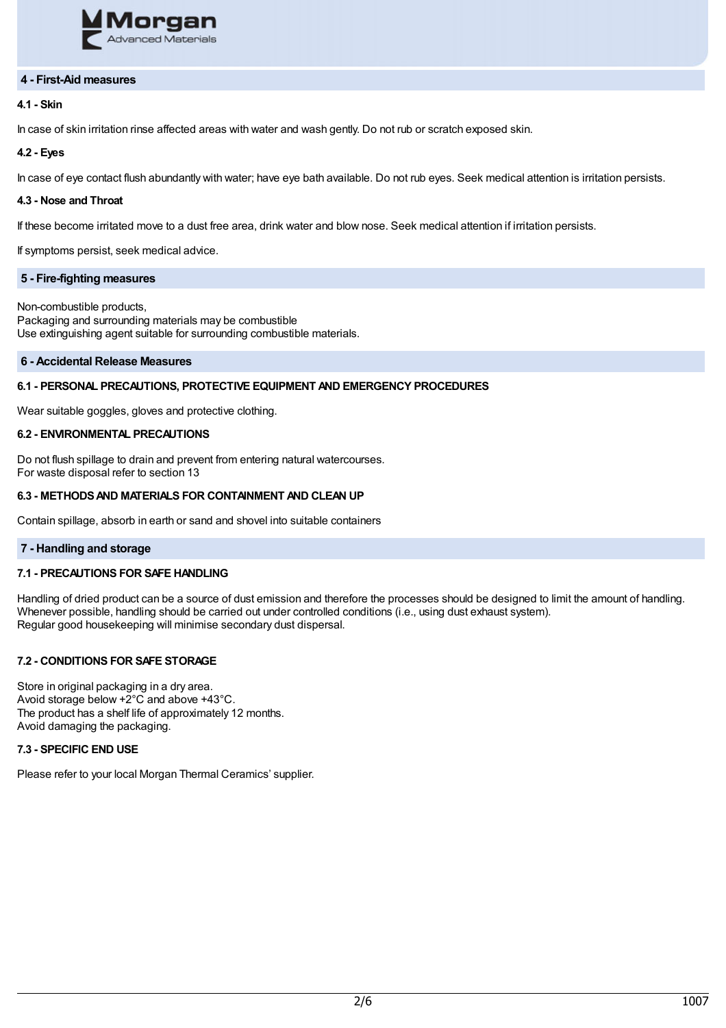

#### **4 - First-Aid measures**

# **4.1 - Skin**

In case of skin irritation rinse affected areas with water and wash gently. Do not rub or scratch exposed skin.

#### **4.2 - Eyes**

In case of eye contact flush abundantly with water; have eye bath available. Do not rub eyes. Seek medical attention is irritation persists.

#### **4.3 - Nose and Throat**

If these become irritated move to a dust free area, drink water and blow nose. Seek medical attention if irritation persists.

If symptoms persist, seek medical advice.

#### **5 - Fire-fighting measures**

Non-combustible products, Packaging and surrounding materials may be combustible Use extinguishing agent suitable for surrounding combustible materials.

# **6 - Accidental Release Measures**

#### **6.1 - PERSONAL PRECAUTIONS, PROTECTIVE EQUIPMENT AND EMERGENCY PROCEDURES**

Wear suitable goggles, gloves and protective clothing.

# **6.2 - ENVIRONMENTAL PRECAUTIONS**

Do not flush spillage to drain and prevent from entering natural watercourses. For waste disposal refer to section 13

#### **6.3 - METHODSAND MATERIALS FOR CONTAINMENT AND CLEAN UP**

Contain spillage, absorb in earth or sand and shovel into suitable containers

#### **7 - Handling and storage**

# **7.1 - PRECAUTIONS FOR SAFE HANDLING**

Handling of dried product can be a source of dust emission and therefore the processes should be designed to limit the amount of handling. Whenever possible, handling should be carried out under controlled conditions (i.e., using dust exhaust system). Regular good housekeeping will minimise secondary dust dispersal.

# **7.2 - CONDITIONS FOR SAFE STORAGE**

Store in original packaging in a dry area. Avoid storage below +2°C and above +43°C. The product has a shelf life of approximately 12 months. Avoid damaging the packaging.

# **7.3 - SPECIFIC END USE**

Please refer to your local Morgan Thermal Ceramics' supplier.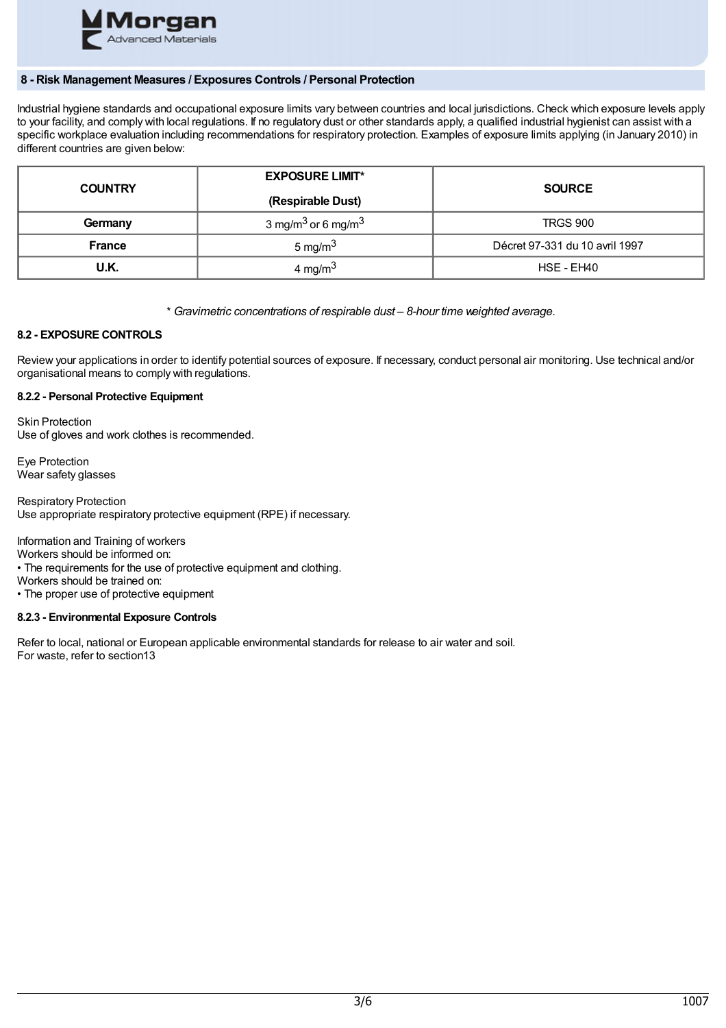

# **8 - Risk Management Measures / Exposures Controls / Personal Protection**

Industrial hygiene standards and occupational exposure limits vary between countries and local jurisdictions. Check which exposure levels apply to your facility, and comply with local regulations. If no regulatory dust or other standards apply, a qualified industrial hygienist can assist with a specific workplace evaluation including recommendations for respiratory protection. Examples of exposure limits applying (in January 2010) in different countries are given below:

| <b>COUNTRY</b> | <b>EXPOSURE LIMIT*</b>                     | <b>SOURCE</b>                  |  |
|----------------|--------------------------------------------|--------------------------------|--|
|                | (Respirable Dust)                          |                                |  |
| Germany        | 3 mg/m <sup>3</sup> or 6 mg/m <sup>3</sup> | <b>TRGS 900</b>                |  |
| <b>France</b>  | 5 mg/m $3$                                 | Décret 97-331 du 10 avril 1997 |  |
| U.K.           | 4 mg/m <sup>3</sup>                        | HSE - EH40                     |  |

\* *Gravimetric concentrations of respirable dust – 8-hour time weighted average*.

# **8.2 - EXPOSURE CONTROLS**

Review your applications in order to identify potential sources of exposure. If necessary, conduct personal air monitoring. Use technical and/or organisational means to comply with regulations.

# **8.2.2 - Personal Protective Equipment**

Skin Protection Use of gloves and work clothes is recommended.

Eye Protection Wear safety glasses

Respiratory Protection Use appropriate respiratory protective equipment (RPE) if necessary.

Information and Training of workers

Workers should be informed on:

• The requirements for the use of protective equipment and clothing.

Workers should be trained on:

• The proper use of protective equipment

# **8.2.3 - Environmental Exposure Controls**

Refer to local, national or European applicable environmental standards for release to air water and soil. For waste, refer to section13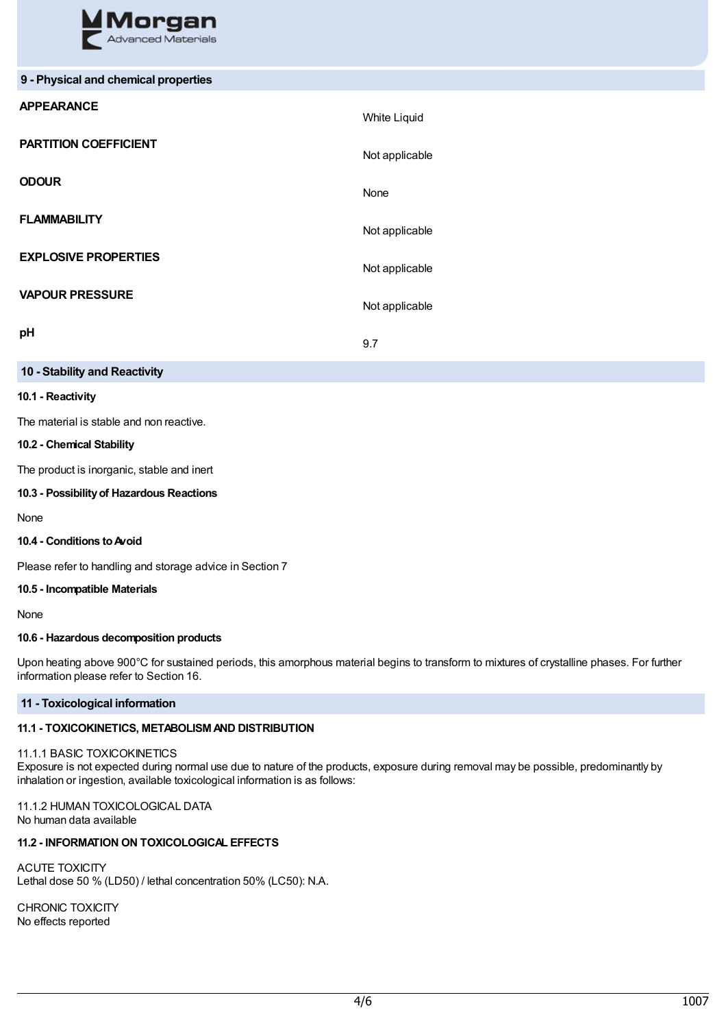

# **APPEARANCE** White Liquid **PARTITION COEFFICIENT** Not applicable **ODOUR** None **FLAMMABILITY** Not applicable **EXPLOSIVE PROPERTIES** Not applicable **VAPOUR PRESSURE** Not applicable **pH** 9.7 **9 - Physical and chemical properties 10 - Stability and Reactivity**

#### **10.1 - Reactivity**

The material is stable and non reactive.

#### **10.2 - Chemical Stability**

The product is inorganic, stable and inert

#### **10.3 - Possibilityof Hazardous Reactions**

None

#### **10.4 - Conditions toAvoid**

Please refer to handling and storage advice in Section 7

#### **10.5 - Incompatible Materials**

None

#### **10.6 - Hazardous decomposition products**

Upon heating above 900°C for sustained periods, this amorphous material begins to transform to mixtures of crystalline phases. For further information please refer to Section 16.

# **11 - Toxicological information**

# **11.1 - TOXICOKINETICS, METABOLISM AND DISTRIBUTION**

# 11.1.1 BASIC TOXICOKINETICS

Exposure is not expected during normal use due to nature of the products, exposure during removal may be possible, predominantly by inhalation or ingestion, available toxicological information is as follows:

# 11.1.2 HUMAN TOXICOLOGICAL DATA No human data available

# **11.2 - INFORMATION ON TOXICOLOGICAL EFFECTS**

ACUTE TOXICITY Lethal dose 50 % (LD50) / lethal concentration 50% (LC50): N.A.

CHRONIC TOXICITY No effects reported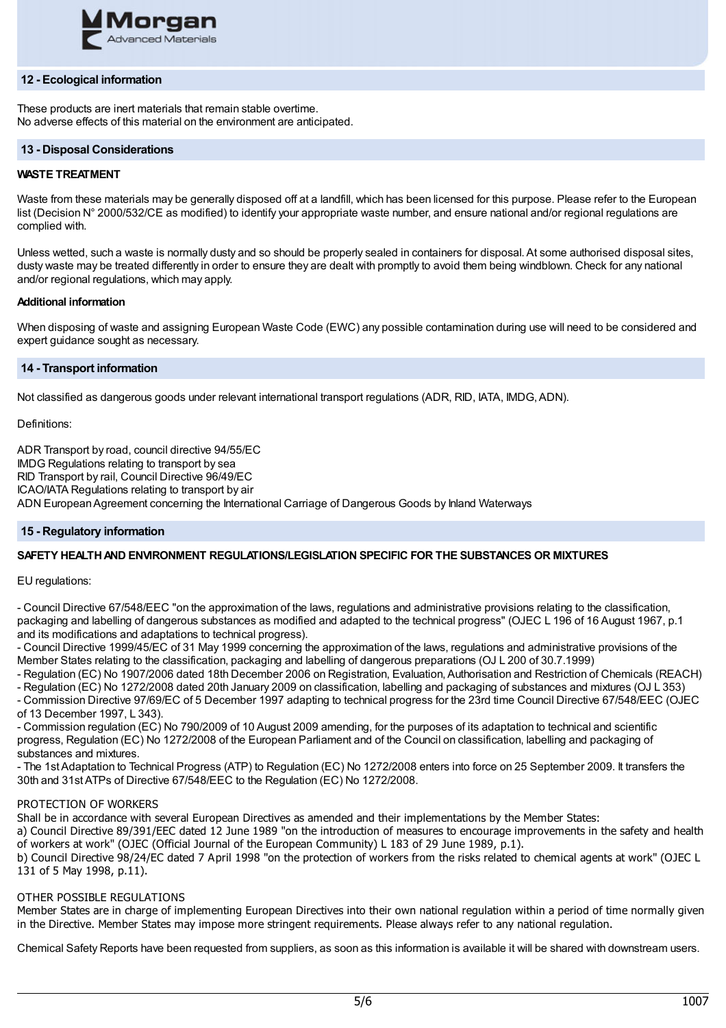

### **12 - Ecological information**

These products are inert materials that remain stable overtime. No adverse effects of this material on the environment are anticipated.

#### **13 - Disposal Considerations**

#### **WASTE TREATMENT**

Waste from these materials may be generally disposed off at a landfill, which has been licensed for this purpose. Please refer to the European list (Decision N° 2000/532/CE as modified) to identify your appropriate waste number, and ensure national and/or regional regulations are complied with.

Unless wetted, such a waste is normally dusty and so should be properly sealed in containers for disposal. At some authorised disposal sites, dusty waste may be treated differently in order to ensure they are dealt with promptly to avoid them being windblown. Check for any national and/or regional regulations, which may apply.

#### **Additional information**

When disposing of waste and assigning European Waste Code (EWC) any possible contamination during use will need to be considered and expert guidance sought as necessary.

# **14 - Transport information**

Not classified as dangerous goods under relevant international transport regulations (ADR, RID, IATA, IMDG,ADN).

Definitions:

ADR Transport by road, council directive 94/55/EC IMDG Regulations relating to transport by sea RID Transport by rail, Council Directive 96/49/EC ICAO/IATA Regulations relating to transport by air ADN EuropeanAgreement concerning the International Carriage of Dangerous Goods by Inland Waterways

# **15 - Regulatory information**

# **SAFETY HEALTHAND ENVIRONMENT REGULATIONS/LEGISLATION SPECIFIC FOR THE SUBSTANCES OR MIXTURES**

EU regulations:

- Council Directive 67/548/EEC "on the approximation of the laws, regulations and administrative provisions relating to the classification, packaging and labelling of dangerous substances as modified and adapted to the technical progress" (OJEC L 196 of 16 August 1967, p.1 and its modifications and adaptations to technical progress).

- Council Directive 1999/45/EC of 31 May 1999 concerning the approximation of the laws, regulations and administrative provisions of the Member States relating to the classification, packaging and labelling of dangerous preparations (OJ L 200 of 30.7.1999)

- Regulation (EC) No 1907/2006 dated 18th December 2006 on Registration, Evaluation,Authorisation and Restriction of Chemicals (REACH)

- Regulation (EC) No 1272/2008 dated 20th January 2009 on classification, labelling and packaging of substances and mixtures (OJ L 353)

- Commission Directive 97/69/EC of 5 December 1997 adapting to technical progress for the 23rd time Council Directive 67/548/EEC (OJEC of 13 December 1997, L 343).

- Commission regulation (EC) No 790/2009 of 10 August 2009 amending, for the purposes of its adaptation to technical and scientific progress, Regulation (EC) No 1272/2008 of the European Parliament and of the Council on classification, labelling and packaging of substances and mixtures.

- The 1stAdaptation to Technical Progress (ATP) to Regulation (EC) No 1272/2008 enters into force on 25 September 2009. It transfers the 30th and 31stATPs of Directive 67/548/EEC to the Regulation (EC) No 1272/2008.

#### PROTECTION OF WORKERS

Shall be in accordance with several European Directives as amended and their implementations by the Member States:

a) Council Directive 89/391/EEC dated 12 June 1989 "on the introduction of measures to encourage improvements in the safety and health of workers at work" (OJEC (Official Journal of the European Community) L 183 of 29 June 1989, p.1).

b) Council Directive 98/24/EC dated 7 April 1998 "on the protection of workers from the risks related to chemical agents at work" (OJEC L 131 of 5 May 1998, p.11).

#### OTHER POSSIBLE REGULATIONS

Member States are in charge of implementing European Directives into their own national regulation within a period of time normally given in the Directive. Member States may impose more stringent requirements. Please always refer to any national regulation.

Chemical Safety Reports have been requested from suppliers, as soon as this information is available it will be shared with downstream users.